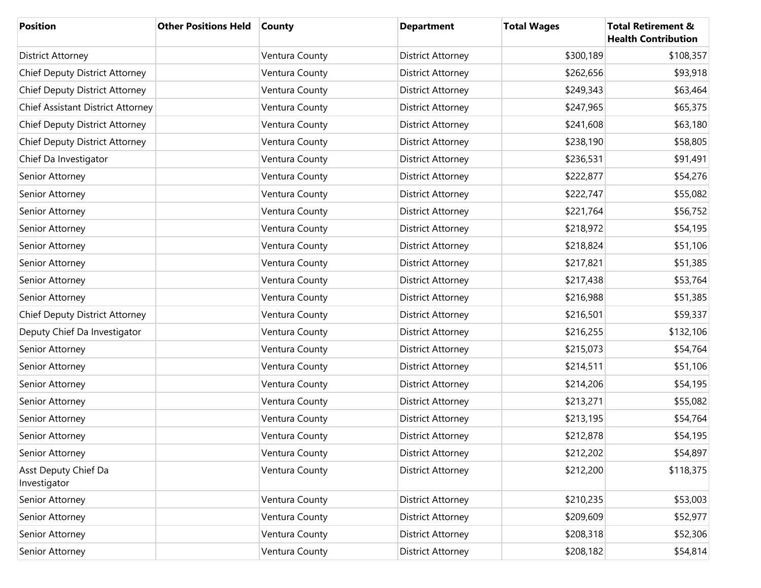| <b>Position</b>                       | <b>Other Positions Held</b> | <b>County</b>  | <b>Department</b>        | <b>Total Wages</b> | <b>Total Retirement &amp;</b><br><b>Health Contribution</b> |
|---------------------------------------|-----------------------------|----------------|--------------------------|--------------------|-------------------------------------------------------------|
| <b>District Attorney</b>              |                             | Ventura County | <b>District Attorney</b> | \$300,189          | \$108,357                                                   |
| <b>Chief Deputy District Attorney</b> |                             | Ventura County | <b>District Attorney</b> | \$262,656          | \$93,918                                                    |
| Chief Deputy District Attorney        |                             | Ventura County | <b>District Attorney</b> | \$249,343          | \$63,464                                                    |
| Chief Assistant District Attorney     |                             | Ventura County | <b>District Attorney</b> | \$247,965          | \$65,375                                                    |
| Chief Deputy District Attorney        |                             | Ventura County | <b>District Attorney</b> | \$241,608          | \$63,180                                                    |
| <b>Chief Deputy District Attorney</b> |                             | Ventura County | <b>District Attorney</b> | \$238,190          | \$58,805                                                    |
| Chief Da Investigator                 |                             | Ventura County | <b>District Attorney</b> | \$236,531          | \$91,491                                                    |
| Senior Attorney                       |                             | Ventura County | <b>District Attorney</b> | \$222,877          | \$54,276                                                    |
| Senior Attorney                       |                             | Ventura County | <b>District Attorney</b> | \$222,747          | \$55,082                                                    |
| Senior Attorney                       |                             | Ventura County | <b>District Attorney</b> | \$221,764          | \$56,752                                                    |
| Senior Attorney                       |                             | Ventura County | <b>District Attorney</b> | \$218,972          | \$54,195                                                    |
| Senior Attorney                       |                             | Ventura County | <b>District Attorney</b> | \$218,824          | \$51,106                                                    |
| Senior Attorney                       |                             | Ventura County | <b>District Attorney</b> | \$217,821          | \$51,385                                                    |
| Senior Attorney                       |                             | Ventura County | <b>District Attorney</b> | \$217,438          | \$53,764                                                    |
| Senior Attorney                       |                             | Ventura County | <b>District Attorney</b> | \$216,988          | \$51,385                                                    |
| Chief Deputy District Attorney        |                             | Ventura County | <b>District Attorney</b> | \$216,501          | \$59,337                                                    |
| Deputy Chief Da Investigator          |                             | Ventura County | <b>District Attorney</b> | \$216,255          | \$132,106                                                   |
| Senior Attorney                       |                             | Ventura County | <b>District Attorney</b> | \$215,073          | \$54,764                                                    |
| Senior Attorney                       |                             | Ventura County | <b>District Attorney</b> | \$214,511          | \$51,106                                                    |
| Senior Attorney                       |                             | Ventura County | <b>District Attorney</b> | \$214,206          | \$54,195                                                    |
| Senior Attorney                       |                             | Ventura County | <b>District Attorney</b> | \$213,271          | \$55,082                                                    |
| Senior Attorney                       |                             | Ventura County | <b>District Attorney</b> | \$213,195          | \$54,764                                                    |
| Senior Attorney                       |                             | Ventura County | <b>District Attorney</b> | \$212,878          | \$54,195                                                    |
| Senior Attorney                       |                             | Ventura County | <b>District Attorney</b> | \$212,202          | \$54,897                                                    |
| Asst Deputy Chief Da<br>Investigator  |                             | Ventura County | <b>District Attorney</b> | \$212,200          | \$118,375                                                   |
| Senior Attorney                       |                             | Ventura County | <b>District Attorney</b> | \$210,235          | \$53,003                                                    |
| Senior Attorney                       |                             | Ventura County | <b>District Attorney</b> | \$209,609          | \$52,977                                                    |
| Senior Attorney                       |                             | Ventura County | <b>District Attorney</b> | \$208,318          | \$52,306                                                    |
| Senior Attorney                       |                             | Ventura County | <b>District Attorney</b> | \$208,182          | \$54,814                                                    |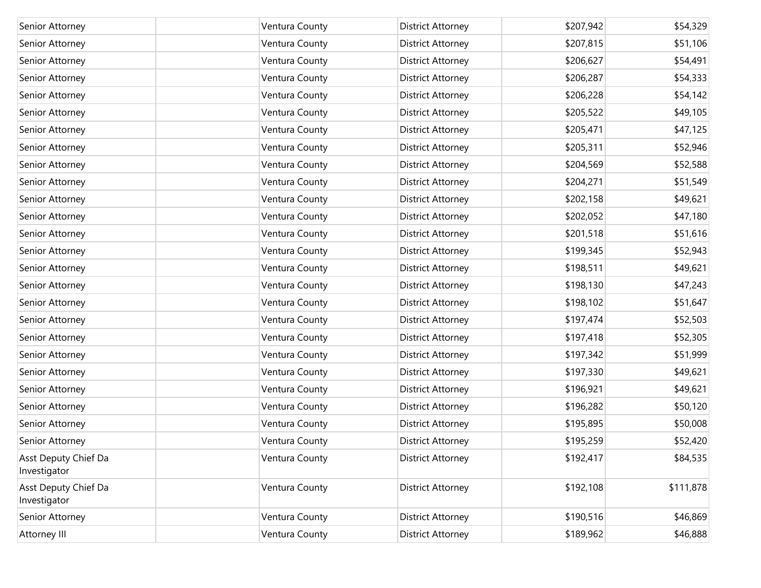| Senior Attorney                      | Ventura County | District Attorney        | \$207,942 | \$54,329  |
|--------------------------------------|----------------|--------------------------|-----------|-----------|
| Senior Attorney                      | Ventura County | District Attorney        | \$207,815 | \$51,106  |
| Senior Attorney                      | Ventura County | District Attorney        | \$206,627 | \$54,491  |
| Senior Attorney                      | Ventura County | District Attorney        | \$206,287 | \$54,333  |
| Senior Attorney                      | Ventura County | District Attorney        | \$206,228 | \$54,142  |
| Senior Attorney                      | Ventura County | District Attorney        | \$205,522 | \$49,105  |
| Senior Attorney                      | Ventura County | <b>District Attorney</b> | \$205,471 | \$47,125  |
| Senior Attorney                      | Ventura County | District Attorney        | \$205,311 | \$52,946  |
| Senior Attorney                      | Ventura County | District Attorney        | \$204,569 | \$52,588  |
| Senior Attorney                      | Ventura County | District Attorney        | \$204,271 | \$51,549  |
| Senior Attorney                      | Ventura County | District Attorney        | \$202,158 | \$49,621  |
| Senior Attorney                      | Ventura County | District Attorney        | \$202,052 | \$47,180  |
| Senior Attorney                      | Ventura County | District Attorney        | \$201,518 | \$51,616  |
| Senior Attorney                      | Ventura County | District Attorney        | \$199,345 | \$52,943  |
| Senior Attorney                      | Ventura County | <b>District Attorney</b> | \$198,511 | \$49,621  |
| Senior Attorney                      | Ventura County | District Attorney        | \$198,130 | \$47,243  |
| Senior Attorney                      | Ventura County | District Attorney        | \$198,102 | \$51,647  |
| Senior Attorney                      | Ventura County | District Attorney        | \$197,474 | \$52,503  |
| Senior Attorney                      | Ventura County | District Attorney        | \$197,418 | \$52,305  |
| Senior Attorney                      | Ventura County | District Attorney        | \$197,342 | \$51,999  |
| Senior Attorney                      | Ventura County | District Attorney        | \$197,330 | \$49,621  |
| Senior Attorney                      | Ventura County | District Attorney        | \$196,921 | \$49,621  |
| Senior Attorney                      | Ventura County | District Attorney        | \$196,282 | \$50,120  |
| Senior Attorney                      | Ventura County | District Attorney        | \$195,895 | \$50,008  |
| Senior Attorney                      | Ventura County | District Attorney        | \$195,259 | \$52,420  |
| Asst Deputy Chief Da<br>Investigator | Ventura County | District Attorney        | \$192,417 | \$84,535  |
| Asst Deputy Chief Da<br>Investigator | Ventura County | District Attorney        | \$192,108 | \$111,878 |
| Senior Attorney                      | Ventura County | District Attorney        | \$190,516 | \$46,869  |
| Attorney III                         | Ventura County | District Attorney        | \$189,962 | \$46,888  |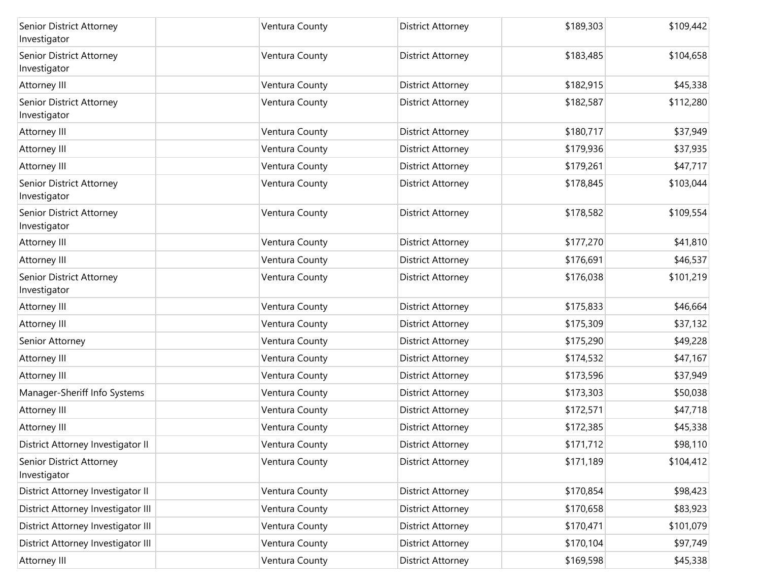| Senior District Attorney<br>Investigator | Ventura County | <b>District Attorney</b> | \$189,303 | \$109,442 |
|------------------------------------------|----------------|--------------------------|-----------|-----------|
| Senior District Attorney<br>Investigator | Ventura County | <b>District Attorney</b> | \$183,485 | \$104,658 |
| Attorney III                             | Ventura County | <b>District Attorney</b> | \$182,915 | \$45,338  |
| Senior District Attorney<br>Investigator | Ventura County | <b>District Attorney</b> | \$182,587 | \$112,280 |
| Attorney III                             | Ventura County | <b>District Attorney</b> | \$180,717 | \$37,949  |
| Attorney III                             | Ventura County | District Attorney        | \$179,936 | \$37,935  |
| Attorney III                             | Ventura County | <b>District Attorney</b> | \$179,261 | \$47,717  |
| Senior District Attorney<br>Investigator | Ventura County | <b>District Attorney</b> | \$178,845 | \$103,044 |
| Senior District Attorney<br>Investigator | Ventura County | <b>District Attorney</b> | \$178,582 | \$109,554 |
| Attorney III                             | Ventura County | <b>District Attorney</b> | \$177,270 | \$41,810  |
| <b>Attorney III</b>                      | Ventura County | <b>District Attorney</b> | \$176,691 | \$46,537  |
| Senior District Attorney<br>Investigator | Ventura County | <b>District Attorney</b> | \$176,038 | \$101,219 |
| Attorney III                             | Ventura County | <b>District Attorney</b> | \$175,833 | \$46,664  |
| Attorney III                             | Ventura County | <b>District Attorney</b> | \$175,309 | \$37,132  |
| Senior Attorney                          | Ventura County | <b>District Attorney</b> | \$175,290 | \$49,228  |
| Attorney III                             | Ventura County | <b>District Attorney</b> | \$174,532 | \$47,167  |
| Attorney III                             | Ventura County | <b>District Attorney</b> | \$173,596 | \$37,949  |
| Manager-Sheriff Info Systems             | Ventura County | <b>District Attorney</b> | \$173,303 | \$50,038  |
| <b>Attorney III</b>                      | Ventura County | <b>District Attorney</b> | \$172,571 | \$47,718  |
| Attorney III                             | Ventura County | <b>District Attorney</b> | \$172,385 | \$45,338  |
| District Attorney Investigator II        | Ventura County | <b>District Attorney</b> | \$171,712 | \$98,110  |
| Senior District Attorney<br>Investigator | Ventura County | <b>District Attorney</b> | \$171,189 | \$104,412 |
| District Attorney Investigator II        | Ventura County | <b>District Attorney</b> | \$170,854 | \$98,423  |
| District Attorney Investigator III       | Ventura County | <b>District Attorney</b> | \$170,658 | \$83,923  |
| District Attorney Investigator III       | Ventura County | <b>District Attorney</b> | \$170,471 | \$101,079 |
| District Attorney Investigator III       | Ventura County | <b>District Attorney</b> | \$170,104 | \$97,749  |
| Attorney III                             | Ventura County | <b>District Attorney</b> | \$169,598 | \$45,338  |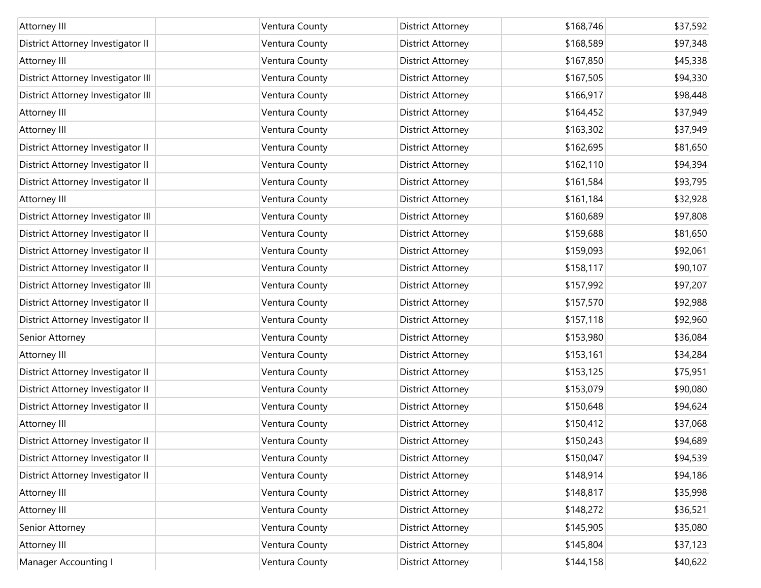| Attorney III                       | Ventura County | <b>District Attorney</b> | \$168,746 | \$37,592 |
|------------------------------------|----------------|--------------------------|-----------|----------|
| District Attorney Investigator II  | Ventura County | <b>District Attorney</b> | \$168,589 | \$97,348 |
| Attorney III                       | Ventura County | <b>District Attorney</b> | \$167,850 | \$45,338 |
| District Attorney Investigator III | Ventura County | <b>District Attorney</b> | \$167,505 | \$94,330 |
| District Attorney Investigator III | Ventura County | <b>District Attorney</b> | \$166,917 | \$98,448 |
| Attorney III                       | Ventura County | <b>District Attorney</b> | \$164,452 | \$37,949 |
| Attorney III                       | Ventura County | <b>District Attorney</b> | \$163,302 | \$37,949 |
| District Attorney Investigator II  | Ventura County | <b>District Attorney</b> | \$162,695 | \$81,650 |
| District Attorney Investigator II  | Ventura County | <b>District Attorney</b> | \$162,110 | \$94,394 |
| District Attorney Investigator II  | Ventura County | <b>District Attorney</b> | \$161,584 | \$93,795 |
| Attorney III                       | Ventura County | <b>District Attorney</b> | \$161,184 | \$32,928 |
| District Attorney Investigator III | Ventura County | <b>District Attorney</b> | \$160,689 | \$97,808 |
| District Attorney Investigator II  | Ventura County | <b>District Attorney</b> | \$159,688 | \$81,650 |
| District Attorney Investigator II  | Ventura County | <b>District Attorney</b> | \$159,093 | \$92,061 |
| District Attorney Investigator II  | Ventura County | <b>District Attorney</b> | \$158,117 | \$90,107 |
| District Attorney Investigator III | Ventura County | <b>District Attorney</b> | \$157,992 | \$97,207 |
| District Attorney Investigator II  | Ventura County | <b>District Attorney</b> | \$157,570 | \$92,988 |
| District Attorney Investigator II  | Ventura County | <b>District Attorney</b> | \$157,118 | \$92,960 |
| Senior Attorney                    | Ventura County | <b>District Attorney</b> | \$153,980 | \$36,084 |
| Attorney III                       | Ventura County | <b>District Attorney</b> | \$153,161 | \$34,284 |
| District Attorney Investigator II  | Ventura County | <b>District Attorney</b> | \$153,125 | \$75,951 |
| District Attorney Investigator II  | Ventura County | <b>District Attorney</b> | \$153,079 | \$90,080 |
| District Attorney Investigator II  | Ventura County | <b>District Attorney</b> | \$150,648 | \$94,624 |
| Attorney III                       | Ventura County | <b>District Attorney</b> | \$150,412 | \$37,068 |
| District Attorney Investigator II  | Ventura County | <b>District Attorney</b> | \$150,243 | \$94,689 |
| District Attorney Investigator II  | Ventura County | <b>District Attorney</b> | \$150,047 | \$94,539 |
| District Attorney Investigator II  | Ventura County | <b>District Attorney</b> | \$148,914 | \$94,186 |
| Attorney III                       | Ventura County | <b>District Attorney</b> | \$148,817 | \$35,998 |
| Attorney III                       | Ventura County | <b>District Attorney</b> | \$148,272 | \$36,521 |
| Senior Attorney                    | Ventura County | <b>District Attorney</b> | \$145,905 | \$35,080 |
| Attorney III                       | Ventura County | <b>District Attorney</b> | \$145,804 | \$37,123 |
| <b>Manager Accounting I</b>        | Ventura County | <b>District Attorney</b> | \$144,158 | \$40,622 |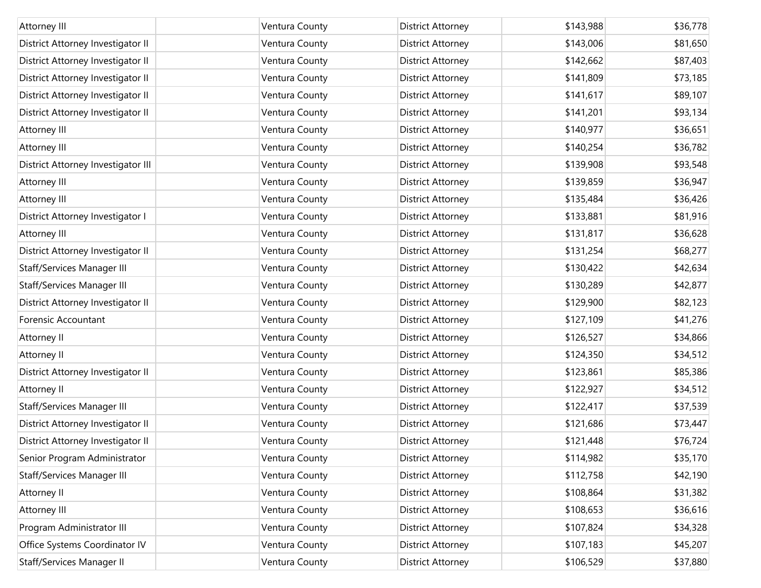| Attorney III                       | Ventura County | <b>District Attorney</b> | \$143,988 | \$36,778 |
|------------------------------------|----------------|--------------------------|-----------|----------|
| District Attorney Investigator II  | Ventura County | <b>District Attorney</b> | \$143,006 | \$81,650 |
| District Attorney Investigator II  | Ventura County | <b>District Attorney</b> | \$142,662 | \$87,403 |
| District Attorney Investigator II  | Ventura County | District Attorney        | \$141,809 | \$73,185 |
| District Attorney Investigator II  | Ventura County | <b>District Attorney</b> | \$141,617 | \$89,107 |
| District Attorney Investigator II  | Ventura County | District Attorney        | \$141,201 | \$93,134 |
| Attorney III                       | Ventura County | <b>District Attorney</b> | \$140,977 | \$36,651 |
| Attorney III                       | Ventura County | <b>District Attorney</b> | \$140,254 | \$36,782 |
| District Attorney Investigator III | Ventura County | <b>District Attorney</b> | \$139,908 | \$93,548 |
| Attorney III                       | Ventura County | District Attorney        | \$139,859 | \$36,947 |
| Attorney III                       | Ventura County | <b>District Attorney</b> | \$135,484 | \$36,426 |
| District Attorney Investigator I   | Ventura County | District Attorney        | \$133,881 | \$81,916 |
| Attorney III                       | Ventura County | <b>District Attorney</b> | \$131,817 | \$36,628 |
| District Attorney Investigator II  | Ventura County | District Attorney        | \$131,254 | \$68,277 |
| Staff/Services Manager III         | Ventura County | <b>District Attorney</b> | \$130,422 | \$42,634 |
| Staff/Services Manager III         | Ventura County | District Attorney        | \$130,289 | \$42,877 |
| District Attorney Investigator II  | Ventura County | <b>District Attorney</b> | \$129,900 | \$82,123 |
| Forensic Accountant                | Ventura County | <b>District Attorney</b> | \$127,109 | \$41,276 |
| Attorney II                        | Ventura County | <b>District Attorney</b> | \$126,527 | \$34,866 |
| Attorney II                        | Ventura County | District Attorney        | \$124,350 | \$34,512 |
| District Attorney Investigator II  | Ventura County | <b>District Attorney</b> | \$123,861 | \$85,386 |
| Attorney II                        | Ventura County | District Attorney        | \$122,927 | \$34,512 |
| Staff/Services Manager III         | Ventura County | <b>District Attorney</b> | \$122,417 | \$37,539 |
| District Attorney Investigator II  | Ventura County | District Attorney        | \$121,686 | \$73,447 |
| District Attorney Investigator II  | Ventura County | <b>District Attorney</b> | \$121,448 | \$76,724 |
| Senior Program Administrator       | Ventura County | <b>District Attorney</b> | \$114,982 | \$35,170 |
| Staff/Services Manager III         | Ventura County | <b>District Attorney</b> | \$112,758 | \$42,190 |
| Attorney II                        | Ventura County | <b>District Attorney</b> | \$108,864 | \$31,382 |
| Attorney III                       | Ventura County | <b>District Attorney</b> | \$108,653 | \$36,616 |
| Program Administrator III          | Ventura County | <b>District Attorney</b> | \$107,824 | \$34,328 |
| Office Systems Coordinator IV      | Ventura County | <b>District Attorney</b> | \$107,183 | \$45,207 |
| Staff/Services Manager II          | Ventura County | District Attorney        | \$106,529 | \$37,880 |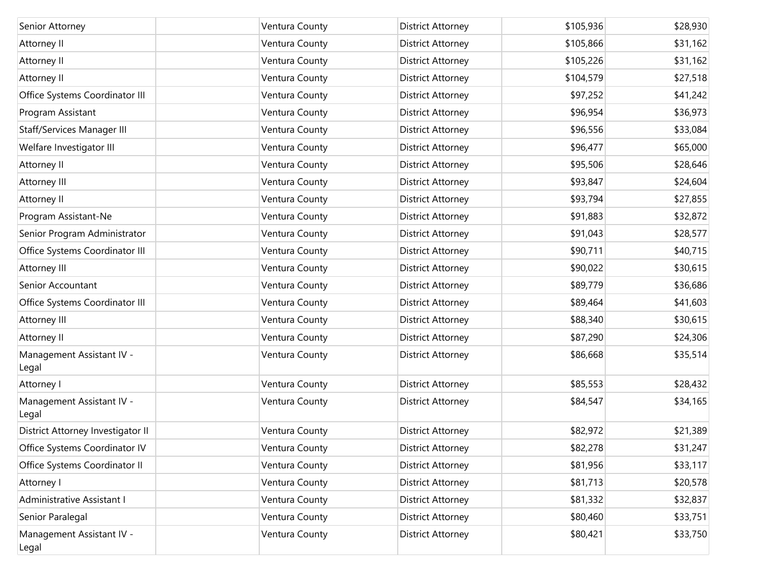| Senior Attorney                    | Ventura County | <b>District Attorney</b> | \$105,936 | \$28,930 |
|------------------------------------|----------------|--------------------------|-----------|----------|
| Attorney II                        | Ventura County | District Attorney        | \$105,866 | \$31,162 |
| Attorney II                        | Ventura County | District Attorney        | \$105,226 | \$31,162 |
| Attorney II                        | Ventura County | District Attorney        | \$104,579 | \$27,518 |
| Office Systems Coordinator III     | Ventura County | District Attorney        | \$97,252  | \$41,242 |
| Program Assistant                  | Ventura County | District Attorney        | \$96,954  | \$36,973 |
| Staff/Services Manager III         | Ventura County | <b>District Attorney</b> | \$96,556  | \$33,084 |
| Welfare Investigator III           | Ventura County | District Attorney        | \$96,477  | \$65,000 |
| Attorney II                        | Ventura County | District Attorney        | \$95,506  | \$28,646 |
| Attorney III                       | Ventura County | District Attorney        | \$93,847  | \$24,604 |
| Attorney II                        | Ventura County | District Attorney        | \$93,794  | \$27,855 |
| Program Assistant-Ne               | Ventura County | District Attorney        | \$91,883  | \$32,872 |
| Senior Program Administrator       | Ventura County | District Attorney        | \$91,043  | \$28,577 |
| Office Systems Coordinator III     | Ventura County | District Attorney        | \$90,711  | \$40,715 |
| Attorney III                       | Ventura County | District Attorney        | \$90,022  | \$30,615 |
| Senior Accountant                  | Ventura County | District Attorney        | \$89,779  | \$36,686 |
| Office Systems Coordinator III     | Ventura County | District Attorney        | \$89,464  | \$41,603 |
| Attorney III                       | Ventura County | District Attorney        | \$88,340  | \$30,615 |
| Attorney II                        | Ventura County | District Attorney        | \$87,290  | \$24,306 |
| Management Assistant IV -<br>Legal | Ventura County | District Attorney        | \$86,668  | \$35,514 |
| Attorney I                         | Ventura County | District Attorney        | \$85,553  | \$28,432 |
| Management Assistant IV -<br>Legal | Ventura County | District Attorney        | \$84,547  | \$34,165 |
| District Attorney Investigator II  | Ventura County | District Attorney        | \$82,972  | \$21,389 |
| Office Systems Coordinator IV      | Ventura County | District Attorney        | \$82,278  | \$31,247 |
| Office Systems Coordinator II      | Ventura County | District Attorney        | \$81,956  | \$33,117 |
| Attorney I                         | Ventura County | District Attorney        | \$81,713  | \$20,578 |
| Administrative Assistant I         | Ventura County | District Attorney        | \$81,332  | \$32,837 |
| Senior Paralegal                   | Ventura County | District Attorney        | \$80,460  | \$33,751 |
| Management Assistant IV -<br>Legal | Ventura County | District Attorney        | \$80,421  | \$33,750 |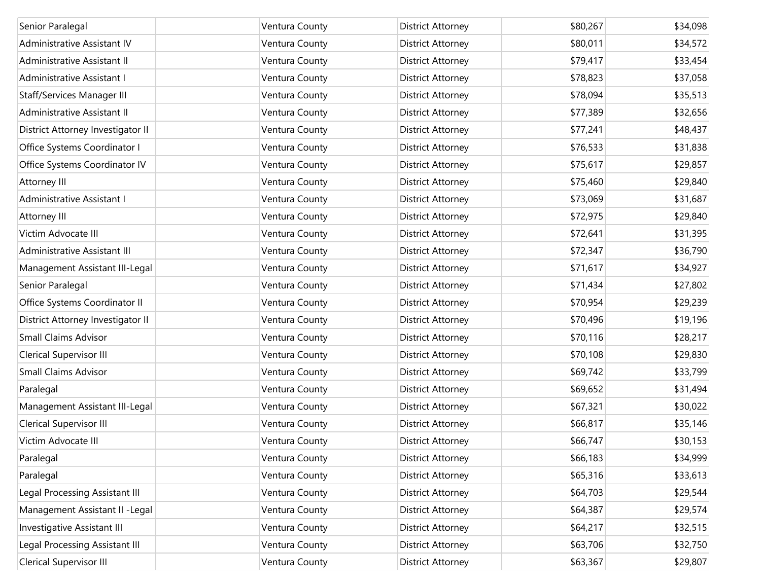| Senior Paralegal                  | Ventura County | <b>District Attorney</b> | \$80,267 | \$34,098 |
|-----------------------------------|----------------|--------------------------|----------|----------|
| Administrative Assistant IV       | Ventura County | <b>District Attorney</b> | \$80,011 | \$34,572 |
| Administrative Assistant II       | Ventura County | <b>District Attorney</b> | \$79,417 | \$33,454 |
| Administrative Assistant I        | Ventura County | <b>District Attorney</b> | \$78,823 | \$37,058 |
| Staff/Services Manager III        | Ventura County | <b>District Attorney</b> | \$78,094 | \$35,513 |
| Administrative Assistant II       | Ventura County | <b>District Attorney</b> | \$77,389 | \$32,656 |
| District Attorney Investigator II | Ventura County | <b>District Attorney</b> | \$77,241 | \$48,437 |
| Office Systems Coordinator I      | Ventura County | <b>District Attorney</b> | \$76,533 | \$31,838 |
| Office Systems Coordinator IV     | Ventura County | <b>District Attorney</b> | \$75,617 | \$29,857 |
| Attorney III                      | Ventura County | <b>District Attorney</b> | \$75,460 | \$29,840 |
| Administrative Assistant I        | Ventura County | <b>District Attorney</b> | \$73,069 | \$31,687 |
| Attorney III                      | Ventura County | <b>District Attorney</b> | \$72,975 | \$29,840 |
| Victim Advocate III               | Ventura County | <b>District Attorney</b> | \$72,641 | \$31,395 |
| Administrative Assistant III      | Ventura County | <b>District Attorney</b> | \$72,347 | \$36,790 |
| Management Assistant III-Legal    | Ventura County | <b>District Attorney</b> | \$71,617 | \$34,927 |
| Senior Paralegal                  | Ventura County | <b>District Attorney</b> | \$71,434 | \$27,802 |
| Office Systems Coordinator II     | Ventura County | <b>District Attorney</b> | \$70,954 | \$29,239 |
| District Attorney Investigator II | Ventura County | <b>District Attorney</b> | \$70,496 | \$19,196 |
| <b>Small Claims Advisor</b>       | Ventura County | <b>District Attorney</b> | \$70,116 | \$28,217 |
| <b>Clerical Supervisor III</b>    | Ventura County | <b>District Attorney</b> | \$70,108 | \$29,830 |
| <b>Small Claims Advisor</b>       | Ventura County | <b>District Attorney</b> | \$69,742 | \$33,799 |
| Paralegal                         | Ventura County | District Attorney        | \$69,652 | \$31,494 |
| Management Assistant III-Legal    | Ventura County | <b>District Attorney</b> | \$67,321 | \$30,022 |
| Clerical Supervisor III           | Ventura County | District Attorney        | \$66,817 | \$35,146 |
| Victim Advocate III               | Ventura County | <b>District Attorney</b> | \$66,747 | \$30,153 |
| Paralegal                         | Ventura County | <b>District Attorney</b> | \$66,183 | \$34,999 |
| Paralegal                         | Ventura County | <b>District Attorney</b> | \$65,316 | \$33,613 |
| Legal Processing Assistant III    | Ventura County | <b>District Attorney</b> | \$64,703 | \$29,544 |
| Management Assistant II - Legal   | Ventura County | <b>District Attorney</b> | \$64,387 | \$29,574 |
| Investigative Assistant III       | Ventura County | <b>District Attorney</b> | \$64,217 | \$32,515 |
| Legal Processing Assistant III    | Ventura County | <b>District Attorney</b> | \$63,706 | \$32,750 |
| Clerical Supervisor III           | Ventura County | District Attorney        | \$63,367 | \$29,807 |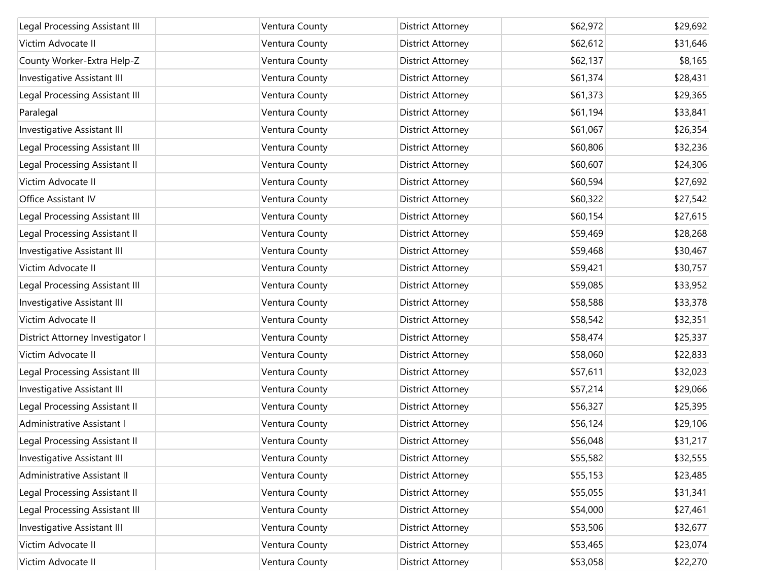| Legal Processing Assistant III     | Ventura County | <b>District Attorney</b> | \$62,972 | \$29,692 |
|------------------------------------|----------------|--------------------------|----------|----------|
| Victim Advocate II                 | Ventura County | District Attorney        | \$62,612 | \$31,646 |
| County Worker-Extra Help-Z         | Ventura County | <b>District Attorney</b> | \$62,137 | \$8,165  |
|                                    |                |                          |          |          |
| Investigative Assistant III        | Ventura County | District Attorney        | \$61,374 | \$28,431 |
| Legal Processing Assistant III     | Ventura County | <b>District Attorney</b> | \$61,373 | \$29,365 |
| Paralegal                          | Ventura County | District Attorney        | \$61,194 | \$33,841 |
| <b>Investigative Assistant III</b> | Ventura County | <b>District Attorney</b> | \$61,067 | \$26,354 |
| Legal Processing Assistant III     | Ventura County | District Attorney        | \$60,806 | \$32,236 |
| Legal Processing Assistant II      | Ventura County | District Attorney        | \$60,607 | \$24,306 |
| Victim Advocate II                 | Ventura County | District Attorney        | \$60,594 | \$27,692 |
| Office Assistant IV                | Ventura County | <b>District Attorney</b> | \$60,322 | \$27,542 |
| Legal Processing Assistant III     | Ventura County | District Attorney        | \$60,154 | \$27,615 |
| Legal Processing Assistant II      | Ventura County | <b>District Attorney</b> | \$59,469 | \$28,268 |
| Investigative Assistant III        | Ventura County | District Attorney        | \$59,468 | \$30,467 |
| Victim Advocate II                 | Ventura County | <b>District Attorney</b> | \$59,421 | \$30,757 |
| Legal Processing Assistant III     | Ventura County | District Attorney        | \$59,085 | \$33,952 |
| Investigative Assistant III        | Ventura County | <b>District Attorney</b> | \$58,588 | \$33,378 |
| Victim Advocate II                 | Ventura County | District Attorney        | \$58,542 | \$32,351 |
| District Attorney Investigator I   | Ventura County | <b>District Attorney</b> | \$58,474 | \$25,337 |
| Victim Advocate II                 | Ventura County | District Attorney        | \$58,060 | \$22,833 |
| Legal Processing Assistant III     | Ventura County | <b>District Attorney</b> | \$57,611 | \$32,023 |
| Investigative Assistant III        | Ventura County | District Attorney        | \$57,214 | \$29,066 |
| Legal Processing Assistant II      | Ventura County | <b>District Attorney</b> | \$56,327 | \$25,395 |
| Administrative Assistant I         | Ventura County | District Attorney        | \$56,124 | \$29,106 |
| Legal Processing Assistant II      | Ventura County | <b>District Attorney</b> | \$56,048 | \$31,217 |
| Investigative Assistant III        | Ventura County | <b>District Attorney</b> | \$55,582 | \$32,555 |
| Administrative Assistant II        | Ventura County | <b>District Attorney</b> | \$55,153 | \$23,485 |
| Legal Processing Assistant II      | Ventura County | <b>District Attorney</b> | \$55,055 | \$31,341 |
| Legal Processing Assistant III     | Ventura County | <b>District Attorney</b> | \$54,000 | \$27,461 |
| Investigative Assistant III        | Ventura County | <b>District Attorney</b> | \$53,506 | \$32,677 |
| Victim Advocate II                 | Ventura County | <b>District Attorney</b> | \$53,465 | \$23,074 |
| Victim Advocate II                 | Ventura County | <b>District Attorney</b> | \$53,058 | \$22,270 |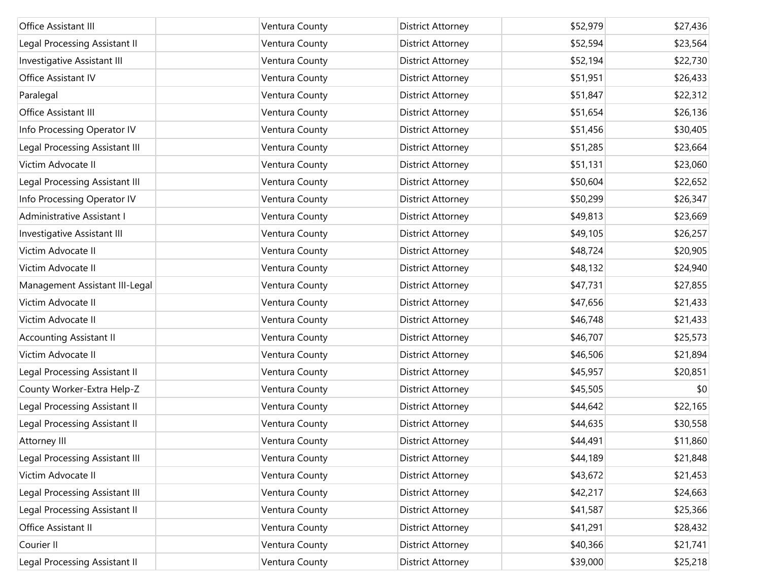| Office Assistant III           | Ventura County | <b>District Attorney</b> | \$52,979 | \$27,436 |
|--------------------------------|----------------|--------------------------|----------|----------|
| Legal Processing Assistant II  | Ventura County | <b>District Attorney</b> | \$52,594 | \$23,564 |
| Investigative Assistant III    | Ventura County | <b>District Attorney</b> | \$52,194 | \$22,730 |
| Office Assistant IV            | Ventura County | <b>District Attorney</b> | \$51,951 | \$26,433 |
| Paralegal                      | Ventura County | <b>District Attorney</b> | \$51,847 | \$22,312 |
| Office Assistant III           | Ventura County | <b>District Attorney</b> | \$51,654 | \$26,136 |
| Info Processing Operator IV    | Ventura County | <b>District Attorney</b> | \$51,456 | \$30,405 |
| Legal Processing Assistant III | Ventura County | <b>District Attorney</b> | \$51,285 | \$23,664 |
| Victim Advocate II             | Ventura County | <b>District Attorney</b> | \$51,131 | \$23,060 |
| Legal Processing Assistant III | Ventura County | <b>District Attorney</b> | \$50,604 | \$22,652 |
| Info Processing Operator IV    | Ventura County | <b>District Attorney</b> | \$50,299 | \$26,347 |
| Administrative Assistant I     | Ventura County | <b>District Attorney</b> | \$49,813 | \$23,669 |
| Investigative Assistant III    | Ventura County | <b>District Attorney</b> | \$49,105 | \$26,257 |
| Victim Advocate II             | Ventura County | <b>District Attorney</b> | \$48,724 | \$20,905 |
| Victim Advocate II             | Ventura County | <b>District Attorney</b> | \$48,132 | \$24,940 |
| Management Assistant III-Legal | Ventura County | <b>District Attorney</b> | \$47,731 | \$27,855 |
| Victim Advocate II             | Ventura County | <b>District Attorney</b> | \$47,656 | \$21,433 |
| Victim Advocate II             | Ventura County | <b>District Attorney</b> | \$46,748 | \$21,433 |
| Accounting Assistant II        | Ventura County | <b>District Attorney</b> | \$46,707 | \$25,573 |
| Victim Advocate II             | Ventura County | <b>District Attorney</b> | \$46,506 | \$21,894 |
| Legal Processing Assistant II  | Ventura County | <b>District Attorney</b> | \$45,957 | \$20,851 |
| County Worker-Extra Help-Z     | Ventura County | <b>District Attorney</b> | \$45,505 | \$0      |
| Legal Processing Assistant II  | Ventura County | <b>District Attorney</b> | \$44,642 | \$22,165 |
| Legal Processing Assistant II  | Ventura County | <b>District Attorney</b> | \$44,635 | \$30,558 |
| Attorney III                   | Ventura County | <b>District Attorney</b> | \$44,491 | \$11,860 |
| Legal Processing Assistant III | Ventura County | <b>District Attorney</b> | \$44,189 | \$21,848 |
| Victim Advocate II             | Ventura County | <b>District Attorney</b> | \$43,672 | \$21,453 |
| Legal Processing Assistant III | Ventura County | <b>District Attorney</b> | \$42,217 | \$24,663 |
| Legal Processing Assistant II  | Ventura County | <b>District Attorney</b> | \$41,587 | \$25,366 |
| Office Assistant II            | Ventura County | <b>District Attorney</b> | \$41,291 | \$28,432 |
| Courier II                     | Ventura County | <b>District Attorney</b> | \$40,366 | \$21,741 |
| Legal Processing Assistant II  | Ventura County | <b>District Attorney</b> | \$39,000 | \$25,218 |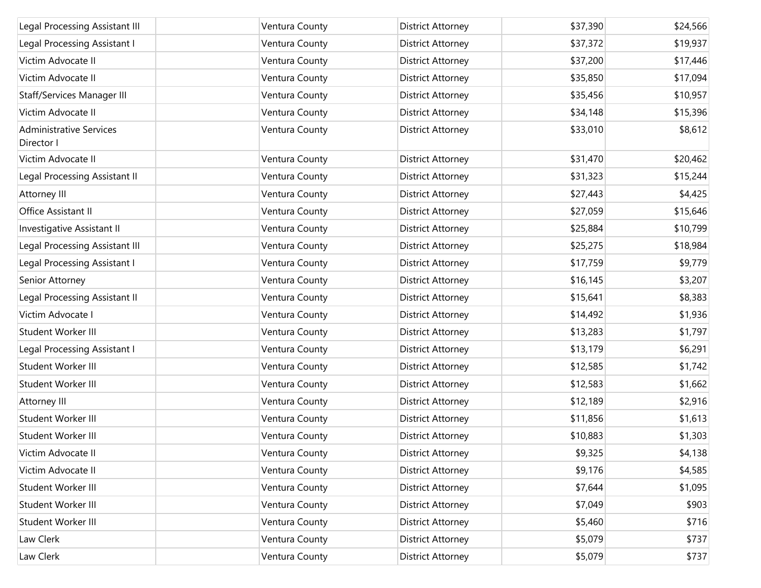| Legal Processing Assistant III               | Ventura County | <b>District Attorney</b> | \$37,390 | \$24,566 |
|----------------------------------------------|----------------|--------------------------|----------|----------|
| Legal Processing Assistant I                 | Ventura County | <b>District Attorney</b> | \$37,372 | \$19,937 |
| Victim Advocate II                           | Ventura County | <b>District Attorney</b> | \$37,200 | \$17,446 |
| Victim Advocate II                           | Ventura County | <b>District Attorney</b> | \$35,850 | \$17,094 |
| Staff/Services Manager III                   | Ventura County | <b>District Attorney</b> | \$35,456 | \$10,957 |
| Victim Advocate II                           | Ventura County | <b>District Attorney</b> | \$34,148 | \$15,396 |
| <b>Administrative Services</b><br>Director I | Ventura County | <b>District Attorney</b> | \$33,010 | \$8,612  |
| Victim Advocate II                           | Ventura County | <b>District Attorney</b> | \$31,470 | \$20,462 |
| Legal Processing Assistant II                | Ventura County | <b>District Attorney</b> | \$31,323 | \$15,244 |
| Attorney III                                 | Ventura County | <b>District Attorney</b> | \$27,443 | \$4,425  |
| Office Assistant II                          | Ventura County | <b>District Attorney</b> | \$27,059 | \$15,646 |
| Investigative Assistant II                   | Ventura County | <b>District Attorney</b> | \$25,884 | \$10,799 |
| Legal Processing Assistant III               | Ventura County | <b>District Attorney</b> | \$25,275 | \$18,984 |
| Legal Processing Assistant I                 | Ventura County | <b>District Attorney</b> | \$17,759 | \$9,779  |
| Senior Attorney                              | Ventura County | <b>District Attorney</b> | \$16,145 | \$3,207  |
| Legal Processing Assistant II                | Ventura County | <b>District Attorney</b> | \$15,641 | \$8,383  |
| Victim Advocate I                            | Ventura County | <b>District Attorney</b> | \$14,492 | \$1,936  |
| Student Worker III                           | Ventura County | <b>District Attorney</b> | \$13,283 | \$1,797  |
| Legal Processing Assistant I                 | Ventura County | <b>District Attorney</b> | \$13,179 | \$6,291  |
| Student Worker III                           | Ventura County | <b>District Attorney</b> | \$12,585 | \$1,742  |
| Student Worker III                           | Ventura County | <b>District Attorney</b> | \$12,583 | \$1,662  |
| Attorney III                                 | Ventura County | <b>District Attorney</b> | \$12,189 | \$2,916  |
| Student Worker III                           | Ventura County | <b>District Attorney</b> | \$11,856 | \$1,613  |
| Student Worker III                           | Ventura County | <b>District Attorney</b> | \$10,883 | \$1,303  |
| Victim Advocate II                           | Ventura County | <b>District Attorney</b> | \$9,325  | \$4,138  |
| Victim Advocate II                           | Ventura County | <b>District Attorney</b> | \$9,176  | \$4,585  |
| Student Worker III                           | Ventura County | <b>District Attorney</b> | \$7,644  | \$1,095  |
| Student Worker III                           | Ventura County | <b>District Attorney</b> | \$7,049  | \$903    |
| Student Worker III                           | Ventura County | <b>District Attorney</b> | \$5,460  | \$716    |
| Law Clerk                                    | Ventura County | <b>District Attorney</b> | \$5,079  | \$737    |
| Law Clerk                                    | Ventura County | <b>District Attorney</b> | \$5,079  | \$737    |